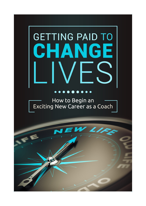# **GETTING PAID TO** HANG F

#### $\bullet$

How to Begin an Exciting New Career as a Coach

LIF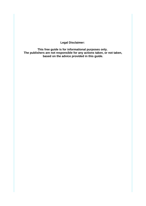**Legal Disclaimer:** 

**This free guide is for informational purposes only. The publishers are not responsible for any actions taken, or not taken, based on the advice provided in this guide.**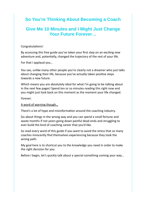# **So You're Thinking About Becoming a Coach**

# **Give Me 10 Minutes and I Might Just Change Your Future Forever…**

#### Congratulations!

By accessing this free guide you've taken your first step on an exciting new adventure and, potentially, changed the trajectory of the rest of your life.

For that I applaud you…

You see, unlike many other people you're clearly not a dreamer who just talks about changing their life, because you've actually taken positive steps towards a new future.

Which means you are absolutely ideal for what I'm going to be talking about in the next few pages! Spend ten or so minutes reading this right now and you might just look back on this moment as the moment your life changed.

*Forever*.

A word of warning though…

There's a lot of hype and misinformation around the coaching industry.

Go about things in the wrong way and you can spend a small fortune and waste months if not *years* going down painful dead ends and struggling to ever build the kind of coaching career that you'd like.

So read every word of this guide if you want to avoid the stress that so many coaches innocently find themselves experiencing because they took the wrong path.

My goal here is to shortcut you to the knowledge you need in order to make the right decision for you.

Before I begin, let's quickly talk about a special something coming your way…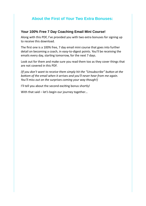# **About the First of Your Two Extra Bonuses:**

#### **Your 100% Free 7 Day Coaching Email Mini Course!**

Along with this PDF, I've provided you with two extra bonuses for signing up to receive this download.

The first one is a 100% free, 7 day email mini course that goes into further detail on becoming a coach, in easy-to-digest points. You'll be receiving the emails every day, starting tomorrow, for the next 7 days.

Look out for them and make sure you read them too as they cover things that are not covered in this PDF.

*(If you don't want to receive them simply hit the "Unsubscribe" button at the bottom of the email when it arrives and you'll never hear from me again. You'll miss out on the surprises coming your way though!)*

I'll tell you about the second exciting bonus shortly!

With that said – let's begin our journey together...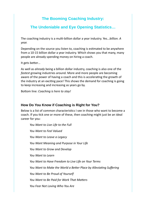# **The Booming Coaching Industry:**

# **The Undeniable and Eye Opening Statistics…**

The coaching industry is a multi-billion dollar a year industry. Yes…*billion. A year.*

Depending on the source you listen to, coaching is estimated to be anywhere from a 10-15 billion dollar a year industry. Which shows you that many, many people are already spending money on hiring a coach.

It gets better…

As well as *already* being a billion dollar industry, coaching is also one of the *fastest* growing industries around. More and more people are becoming aware of the power of having a coach and this is accelerating the growth of the industry at an exciting pace! This shows the demand for coaching is going to keep increasing and increasing as years go by.

Bottom line: *Coaching is here to stay!*

# **How Do You Know if Coaching is Right for You?**

Below is a list of common characteristics I see in those who want to become a coach. If you tick one or more of these, then coaching might just be an ideal career for you:

*You Want to Live Life to the Full You Want to Feel Valued You Want to Leave a Legacy You Want Meaning and Purpose in Your Life You Want to Grow and Develop You Want to Learn You Want to Have Freedom to Live Life on Your Terms You Want to Make the World a Better Place by Alleviating Suffering You Want to Be Proud of Yourself You Want to Be Paid for Work That Matters You Fear Not Loving Who You Are*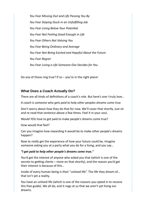*You Fear Missing Out and Life Passing You By You Fear Staying Stuck in an Unfulfilling Job You Fear Living Below Your Potential You Fear Not Feeling Good Enough in Life You Fear Others Not Valuing You You Fear Being Ordinary and Average You Fear Not Being Excited and Hopeful About the Future You Fear Regret You Fear Living a Life Someone Else Decides for You*

Do any of those ring true? If so  $-$  you're in the right place!

#### **What Does a Coach Actually Do?**

There are all kinds of definitions of a coach's role. But here's one I truly love…

*A coach is someone who gets paid to help other peoples dreams come true.*

Don't worry about *how* they do that for now. We'll cover that shortly. Just sit and re-read that sentence above a few times. Feel it in your soul.

Would *YOU* love to get paid to make people's dreams come true?

How would that feel?

Can you imagine how rewarding it would be to make other people's dreams happen?

Now to *really* get the experience of how your future could be, imagine someone asking you at a party what you do for a living, and you say…

#### *"I get paid to help other people's dreams come true."*

You'd get the interest of anyone who asked you that (which is one of the secrets to getting clients – more on that shortly), and the reason you'd get their interest is because of this…

Inside of every human being is their "unlived life". The life they dream of… that isn't yet a reality.

You have an unlived life (which is one of the reasons you opted in to receive this free guide). We all do, and it nags at us that we aren't yet living our dreams.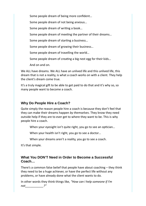Some people dream of being more confident…

Some people dream of not being anxious…

Some people dream of writing a book…

Some people dream of meeting the partner of their dreams…

Some people dream of starting a business…

Some people dream of growing their business…

Some people dream of travelling the world…

Some people dream of creating a big nest egg for their kids…

And on and on.

We ALL have dreams. We ALL have an unlived life and this unlived life, this dream that is not a reality, is what a coach works on with a client. They help the client's dream come true.

It's a truly magical gift to be able to get paid to do that and it's why so, so many people want to become a coach.

# **Why Do People Hire a Coach?**

Quite simply the reason people hire a coach is because they don't feel that they can make their dreams happen *by themselves*. They know they need outside help if they are to ever get to where they want to be. This is why people hire a coach.

When your eyesight isn't quite right, you go to see an optician...

When your health isn't right, you go to see a doctor…

When your dreams aren't a reality, you go to see a coach.

It's that simple.

### **What You DON'T Need in Order to Become a Successful Coach…**

There's a common false belief that people have about coaching – they think they need to be a huge achiever, or have the perfect life without any problems, or have already done what the client wants to do.

In other words they think things like, *"How can I help someone if I'm not\_\_\_\_\_\_\_\_\_\_\_?"*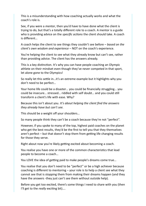This is a misunderstanding with how coaching actually works and what the coach's role is.

See, if you were a *mentor*, then you'd have to have done what the client is trying to do, but that's a totally different role to a coach. A mentor is a guide who is providing advice on the *specific actions* the client should take. A coach is different…

A coach helps the client to see things they couldn't see before – *based on the client's own wisdom and experience –* NOT on the coach's experience.

You're helping the client to see what they already know but can't see, rather than providing advice. The client has the answers already.

This is a key distinction. It's why you can have people coaching an Olympic athlete on their mindset even though they've never competed in that sport, let alone gone to the Olympics!

So really let this settle in…it's an extreme example but it highlights why you don't need to be perfect…

Your home life could be a disaster… you could be financially struggling… you could be insecure… stressed… riddled with self doubt… and you could still transform a client's life with ease. Why?

Because this isn't about you. *It's about helping the client find the answers they already have but can't see.*

This should be a weight off your shoulders…

So many people think they can't be a coach because they're not "perfect".

However, if you spoke to many of the top, highest paid coaches on the planet who get the best results, they'd be the first to tell you that they themselves aren't perfect – but that doesn't stop them from getting life changing results for those they serve.

Right about now you're likely getting excited about becoming a coach.

You realise you have one or more of the common characteristics that lead people to become a coach…

You LOVE the idea of getting paid to make people's dreams come true…

You realise that you don't need to be "perfect" or be a high achiever because coaching is different to mentoring – your role is to help a client see what they cannot see that is stopping them from making their dreams happen (and they have the answers -they just can't see them without outside help).

Before you get too excited, there's some things I need to share with you (then I'll get to the *really* exciting bit)….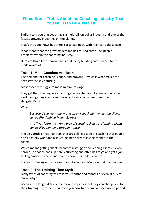# **Three Brutal Truths About the Coaching Industry That You NEED to Be Aware Of…**

Earlier I told you that coaching is a multi-billion dollar industry and one of the fastest growing industries on the planet.

That's the good news but there is also bad news with regards to those facts.

It has meant that the growing demand has caused some unexpected problems within the coaching industry.

Here are three little known truths that every budding coach needs to be made aware of…

#### **Truth 1: Most Coaches Are Broke**

The demand for coaching is huge, and growing – which is what makes the next statistic so confusing…

Most coaches struggle to make minimum wage.

They get their training as a coach… get all excited about going out into the world and getting clients and making dreams come true… and then… struggle. Badly.

Why?

*Because if you learn the wrong type of coaching then getting clients can be like climbing Mount Everest.*

*And if you learn the wrong type of coaching then transforming clients can be like swimming through treacle.*

The ugly truth is that many coaches are selling a type of coaching that people don't actually want and also struggling to create lasting change in their clients.

Which means getting clients becomes a struggle and keeping clients is even harder. The coach ends up barely surviving and often has to go and get a job, feeling embarrassment and shame about their failed venture.

It's heartbreaking and it doesn't need to happen. More on that in a moment.

# **Truth 2: The Training Time Myth**

Many types of coaching will take you months and months or even YEARS to learn. Why?

Because the longer it takes, the more companies feel they can charge you for their training. So, rather than teach you how to become a coach over a period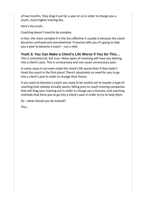of two months, they drag it out for a year or so in order to charge you a much, much higher training fee.

Here's the truth…

Coaching doesn't need to be complex.

In fact, the more complex it is the *less* effective it usually is because the coach becomes confused and overwhelmed. If anyone tells you it's going to take you a year to become a coach – run a mile.

# **Truth 3: You Can Make a Client's Life Worse if You Do This…**

This is controversial, but true. Many types of coaching will have you delving into a client's past. This is unnecessary and can cause unnecessary pain.

In some cases it can even make the client's life *worse* than if they hadn't hired the coach in the first place! There's absolutely no need for you to go into a client's past in order to change their future.

If you want to become a coach you need to be careful not to master a type of coaching that nobody actually wants, falling prey to coach training companies that will drag your training out in order to charge you a fortune, and coaching methods that force you to go into a client's past in order to try to help them.

So – what should you do instead?

This…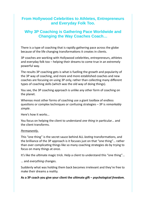# **From Hollywood Celebrities to Athletes, Entrepreneurs and Everyday Folk Too.**

# **Why 3P Coaching is Gathering Pace Worldwide and Changing the Way Coaches Coach…**

There is a type of coaching that is rapidly gathering pace across the globe because of the life changing transformations it creates in clients.

3P coaches are working with Hollywood celebrities, entrepreneurs, athletes and everyday folk too – helping their dreams to come true in an extremely powerful way.

The results 3P coaching gets is what is fuelling the growth and popularity of the 3P way of coaching, and more and more established coaches and new coaches are focusing on using 3P only, rather than collecting many different types of coaching skills (which was the old way of doing things).

You see, the 3P coaching approach is unlike any other form of coaching on the planet.

Whereas most other forms of coaching use a giant toolbox of endless questions or complex techniques or confusing strategies – 3P is *remarkably simple*.

Here's how it works…

You focus on helping the client to understand *one thing* in particular… and the client transforms.

#### *Permanently* .

This "one thing" is the secret sauce behind ALL *lasting* transformations, and the brilliance of the 3P approach is it focuses just on that "one thing"… rather than over complicating things like so many coaching strategies do by trying to focus on many things at once.

It's like the ultimate magic trick. Help a client to understand this "one thing"…

… and *everything* changes.

Suddenly what was holding them back becomes irrelevant and they're free to make their dreams a reality.

**As a 3P coach you give your client the ultimate gift –** *psychological freedom.*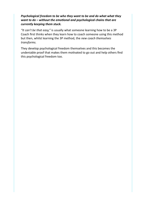#### *Psychological freedom to be who they want to be and do what what they want to do – without the emotional and psychological chains that are currently keeping them stuck.*

*"It can't be that easy,"* is usually what someone learning how to be a 3P Coach first thinks when they learn how to coach someone using this method but then, whilst learning the 3P method, the *new coach themselves transforms.* 

They develop psychological freedom themselves and this becomes the undeniable proof that makes them motivated to go out and help others find this psychological freedom too.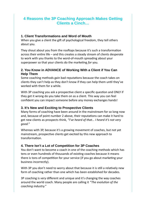# **4 Reasons the 3P Coaching Approach Makes Getting Clients a Cinch…**

#### **1. Client Transformations and Word of Mouth**

When you give a client the gift of psychological freedom, they tell others about you.

They shout about you from the rooftops because it's such a transformation across their entire life – and this creates a steady stream of clients desperate to work with you thanks to the word-of-mouth spreading about your superpower so that your clients do the marketing *for* you.

#### **2. You Know in ADVANCE of Working With a Client if You Can Help Them**

Some coaching methods gain bad reputations because the coach takes on clients they can't help as they don't know if they can help them until they've worked with them for a while.

With 3P coaching you ask a prospective client a specific question and ONLY if they get it wrong do you take them on as a client. This way you can feel confident you can impact someone before any money exchanges hands!

#### **3. It's New and Exciting to Prospective Clients**

Many forms of coaching have been around in the mainstream for so long now and, because of point number 2 above, their reputations can make it hard to get new clients as prospects think, *"I've heard of that… I heard it's not very good."*

Whereas with 3P, because it's a growing movement of coaches, but not yet mainstream, prospective clients get excited by this new approach to transformation.

#### **4. There Isn't a Lot of Competition for 3P Coaches**

You don't want to become a coach in one of the coaching methods which has tens or even hundreds of thousands of existing coaches because it means there is tons of competition for your service (if you go about marketing your business incorrectly).

With 3P you don't need to worry about that because it is still a relatively new form of coaching rather than one which has been established for decades.

3P coaching is *very* different and unique and it's changing the way coaches around the world coach. Many people are calling it *"The evolution of the coaching industry."*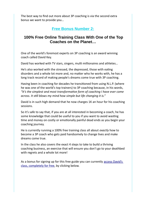The best way to find out more about 3P coaching is via the second extra bonus we want to provide you…

# **Free Bonus Number 2:**

# **100% Free Online Training Class With One of the Top Coaches on the Planet…**

One of the world's foremost experts on 3P coaching is an award winning coach called David Key.

David has worked with TV stars, singers, multi millionaires and athletes…

He's also worked with the stressed, the depressed, those with eating disorders and a whole lot more and, no matter who he works with, he has a long track record of making people's dreams come true with 3P coaching.

Having been in coaching for decades he transitioned from using N.L.P. (where he was one of the world's top trainers) to 3P coaching because, in his words, *"It's the simplest and most transformative form of coaching I have ever come across. It still blows my mind how simple but life changing it is."*

David is in such high demand that he now charges 1K an hour for his coaching sessions.

So it's safe to say that, if you are at all interested in becoming a coach, he has some knowledge that could be useful to you if you want to avoid wasting time and money on costly or emotionally painful dead ends as you begin your coaching journey.

He is currently running a 100% free training class all about *exactly* how to become a 3P coach who gets paid handsomely to change lives and make dreams come true.

In the class he also covers the exact 4 steps to take to build a thriving coaching business, an exercise that will ensure you don't go to your deathbed with regrets and a whole lot more!

As a bonus for signing up for this free guide you can currently access David's [class, completely for free](https://unimind.krtra.com/t/s7wD2N1TfCYf), by clicking below.